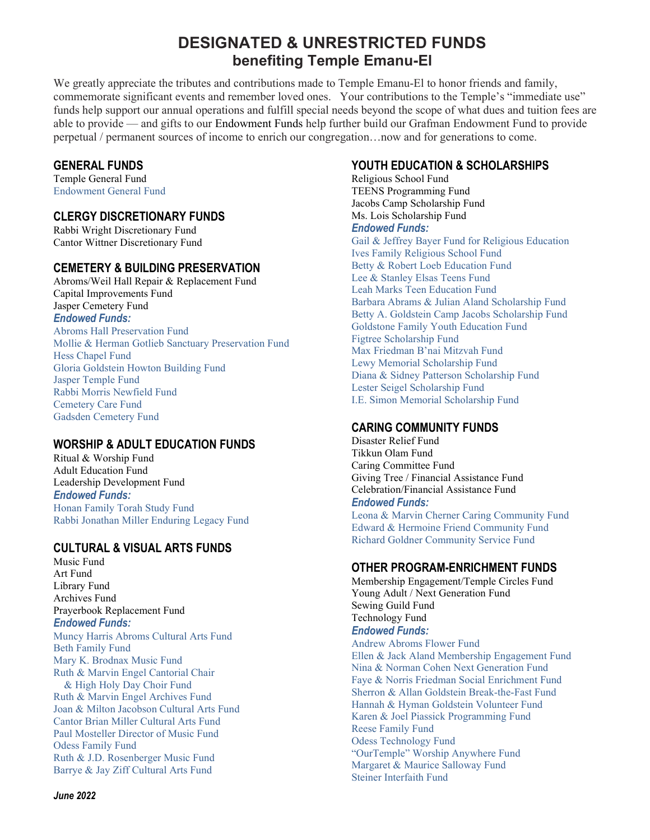# DESIGNATED & UNRESTRICTED FUNDS benefiting Temple Emanu-El

We greatly appreciate the tributes and contributions made to Temple Emanu-El to honor friends and family, commemorate significant events and remember loved ones. Your contributions to the Temple's "immediate use" funds help support our annual operations and fulfill special needs beyond the scope of what dues and tuition fees are able to provide — and gifts to our Endowment Funds help further build our Grafman Endowment Fund to provide perpetual / permanent sources of income to enrich our congregation…now and for generations to come.

#### GENERAL FUNDS

Temple General Fund Endowment General Fund

### CLERGY DISCRETIONARY FUNDS

Rabbi Wright Discretionary Fund Cantor Wittner Discretionary Fund

#### CEMETERY & BUILDING PRESERVATION

Abroms/Weil Hall Repair & Replacement Fund Capital Improvements Fund Jasper Cemetery Fund Endowed Funds: Abroms Hall Preservation Fund Mollie & Herman Gotlieb Sanctuary Preservation Fund Hess Chapel Fund Gloria Goldstein Howton Building Fund

Jasper Temple Fund Rabbi Morris Newfield Fund Cemetery Care Fund Gadsden Cemetery Fund

# WORSHIP & ADULT EDUCATION FUNDS

Ritual & Worship Fund Adult Education Fund Leadership Development Fund Endowed Funds: Honan Family Torah Study Fund Rabbi Jonathan Miller Enduring Legacy Fund

# CULTURAL & VISUAL ARTS FUNDS

Music Fund Art Fund Library Fund Archives Fund Prayerbook Replacement Fund Endowed Funds: Muncy Harris Abroms Cultural Arts Fund Beth Family Fund Mary K. Brodnax Music Fund Ruth & Marvin Engel Cantorial Chair & High Holy Day Choir Fund Ruth & Marvin Engel Archives Fund Joan & Milton Jacobson Cultural Arts Fund Cantor Brian Miller Cultural Arts Fund Paul Mosteller Director of Music Fund Odess Family Fund Ruth & J.D. Rosenberger Music Fund Barrye & Jay Ziff Cultural Arts Fund

## YOUTH EDUCATION & SCHOLARSHIPS

Religious School Fund TEENS Programming Fund Jacobs Camp Scholarship Fund Ms. Lois Scholarship Fund

#### Endowed Funds:

Gail & Jeffrey Bayer Fund for Religious Education Ives Family Religious School Fund Betty & Robert Loeb Education Fund Lee & Stanley Elsas Teens Fund Leah Marks Teen Education Fund Barbara Abrams & Julian Aland Scholarship Fund Betty A. Goldstein Camp Jacobs Scholarship Fund Goldstone Family Youth Education Fund Figtree Scholarship Fund Max Friedman B'nai Mitzvah Fund Lewy Memorial Scholarship Fund Diana & Sidney Patterson Scholarship Fund Lester Seigel Scholarship Fund I.E. Simon Memorial Scholarship Fund

# CARING COMMUNITY FUNDS

Disaster Relief Fund Tikkun Olam Fund Caring Committee Fund Giving Tree / Financial Assistance Fund Celebration/Financial Assistance Fund Endowed Funds: Leona & Marvin Cherner Caring Community Fund Edward & Hermoine Friend Community Fund Richard Goldner Community Service Fund

#### OTHER PROGRAM-ENRICHMENT FUNDS

Membership Engagement/Temple Circles Fund Young Adult / Next Generation Fund Sewing Guild Fund Technology Fund Endowed Funds: Andrew Abroms Flower Fund Ellen & Jack Aland Membership Engagement Fund Nina & Norman Cohen Next Generation Fund Faye & Norris Friedman Social Enrichment Fund Sherron & Allan Goldstein Break-the-Fast Fund Hannah & Hyman Goldstein Volunteer Fund Karen & Joel Piassick Programming Fund Reese Family Fund Odess Technology Fund "OurTemple" Worship Anywhere Fund Margaret & Maurice Salloway Fund Steiner Interfaith Fund